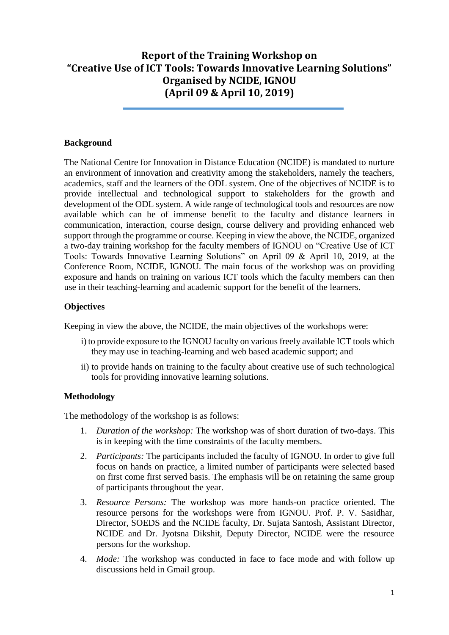# **Report of the Training Workshop on "Creative Use of ICT Tools: Towards Innovative Learning Solutions" Organised by NCIDE, IGNOU (April 09 & April 10, 2019)**

#### **Background**

The National Centre for Innovation in Distance Education (NCIDE) is mandated to nurture an environment of innovation and creativity among the stakeholders, namely the teachers, academics, staff and the learners of the ODL system. One of the objectives of NCIDE is to provide intellectual and technological support to stakeholders for the growth and development of the ODL system. A wide range of technological tools and resources are now available which can be of immense benefit to the faculty and distance learners in communication, interaction, course design, course delivery and providing enhanced web support through the programme or course. Keeping in view the above, the NCIDE, organized a two-day training workshop for the faculty members of IGNOU on "Creative Use of ICT Tools: Towards Innovative Learning Solutions" on April 09 & April 10, 2019, at the Conference Room, NCIDE, IGNOU. The main focus of the workshop was on providing exposure and hands on training on various ICT tools which the faculty members can then use in their teaching-learning and academic support for the benefit of the learners.

#### **Objectives**

Keeping in view the above, the NCIDE, the main objectives of the workshops were:

- i) to provide exposure to the IGNOU faculty on various freely available ICT tools which they may use in teaching-learning and web based academic support; and
- ii) to provide hands on training to the faculty about creative use of such technological tools for providing innovative learning solutions.

# **Methodology**

The methodology of the workshop is as follows:

- 1. *Duration of the workshop:* The workshop was of short duration of two-days. This is in keeping with the time constraints of the faculty members.
- 2. *Participants:* The participants included the faculty of IGNOU. In order to give full focus on hands on practice, a limited number of participants were selected based on first come first served basis. The emphasis will be on retaining the same group of participants throughout the year.
- 3. *Resource Persons:* The workshop was more hands-on practice oriented. The resource persons for the workshops were from IGNOU. Prof. P. V. Sasidhar, Director, SOEDS and the NCIDE faculty, Dr. Sujata Santosh, Assistant Director, NCIDE and Dr. Jyotsna Dikshit, Deputy Director, NCIDE were the resource persons for the workshop.
- 4. *Mode:* The workshop was conducted in face to face mode and with follow up discussions held in Gmail group.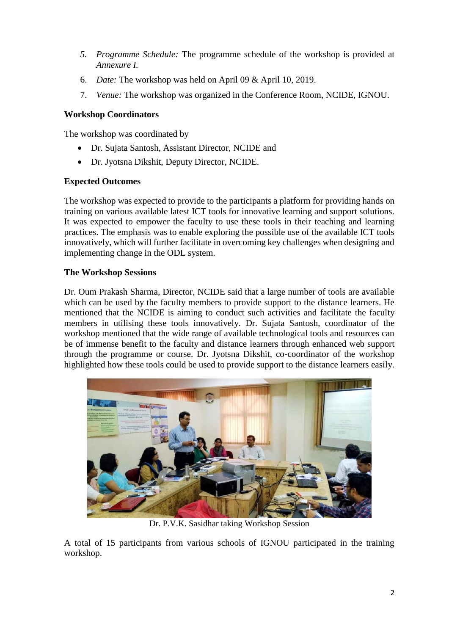- *5. Programme Schedule:* The programme schedule of the workshop is provided at *Annexure I.*
- 6. *Date:* The workshop was held on April 09 & April 10, 2019.
- 7. *Venue:* The workshop was organized in the Conference Room, NCIDE, IGNOU.

#### **Workshop Coordinators**

The workshop was coordinated by

- Dr. Sujata Santosh, Assistant Director, NCIDE and
- Dr. Jyotsna Dikshit, Deputy Director, NCIDE.

#### **Expected Outcomes**

The workshop was expected to provide to the participants a platform for providing hands on training on various available latest ICT tools for innovative learning and support solutions. It was expected to empower the faculty to use these tools in their teaching and learning practices. The emphasis was to enable exploring the possible use of the available ICT tools innovatively, which will further facilitate in overcoming key challenges when designing and implementing change in the ODL system.

#### **The Workshop Sessions**

Dr. Oum Prakash Sharma, Director, NCIDE said that a large number of tools are available which can be used by the faculty members to provide support to the distance learners. He mentioned that the NCIDE is aiming to conduct such activities and facilitate the faculty members in utilising these tools innovatively. Dr. Sujata Santosh, coordinator of the workshop mentioned that the wide range of available technological tools and resources can be of immense benefit to the faculty and distance learners through enhanced web support through the programme or course. Dr. Jyotsna Dikshit, co-coordinator of the workshop highlighted how these tools could be used to provide support to the distance learners easily.



Dr. P.V.K. Sasidhar taking Workshop Session

A total of 15 participants from various schools of IGNOU participated in the training workshop.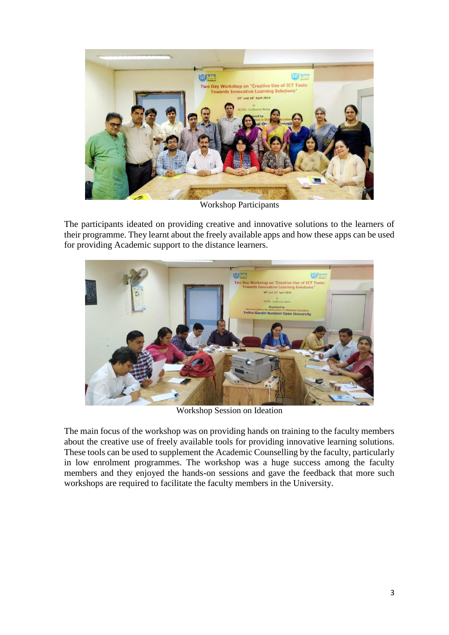

Workshop Participants

The participants ideated on providing creative and innovative solutions to the learners of their programme. They learnt about the freely available apps and how these apps can be used for providing Academic support to the distance learners.



Workshop Session on Ideation

The main focus of the workshop was on providing hands on training to the faculty members about the creative use of freely available tools for providing innovative learning solutions. These tools can be used to supplement the Academic Counselling by the faculty, particularly in low enrolment programmes. The workshop was a huge success among the faculty members and they enjoyed the hands-on sessions and gave the feedback that more such workshops are required to facilitate the faculty members in the University.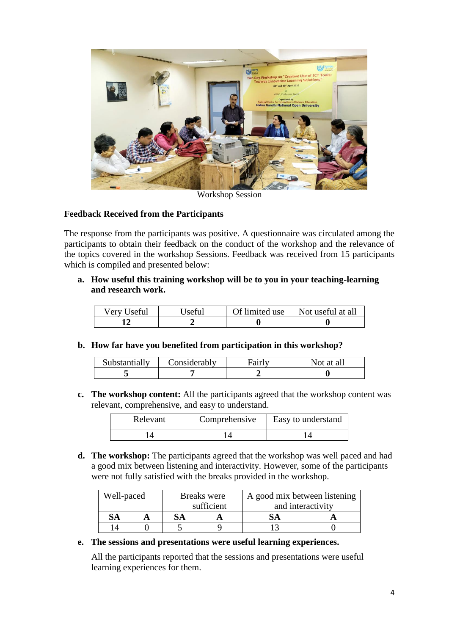

Workshop Session

#### **Feedback Received from the Participants**

The response from the participants was positive. A questionnaire was circulated among the participants to obtain their feedback on the conduct of the workshop and the relevance of the topics covered in the workshop Sessions. Feedback was received from 15 participants which is compiled and presented below:

**a. How useful this training workshop will be to you in your teaching-learning and research work.**

| Very Useful | Useful | Of limited use | Not useful at all |
|-------------|--------|----------------|-------------------|
|             |        |                |                   |

**b. How far have you benefited from participation in this workshop?**

| Substantially | Considerably | Not at all |
|---------------|--------------|------------|
|               |              |            |

**c. The workshop content:** All the participants agreed that the workshop content was relevant, comprehensive, and easy to understand.

| Comprehensive<br>Relevant |  | Easy to understand |  |  |
|---------------------------|--|--------------------|--|--|
|                           |  |                    |  |  |

**d. The workshop:** The participants agreed that the workshop was well paced and had a good mix between listening and interactivity. However, some of the participants were not fully satisfied with the breaks provided in the workshop.

| Well-paced |  | Breaks were |  | A good mix between listening |  |  |
|------------|--|-------------|--|------------------------------|--|--|
|            |  | sufficient  |  | and interactivity            |  |  |
| <b>SA</b>  |  |             |  |                              |  |  |
|            |  |             |  |                              |  |  |

**e. The sessions and presentations were useful learning experiences.**

All the participants reported that the sessions and presentations were useful learning experiences for them.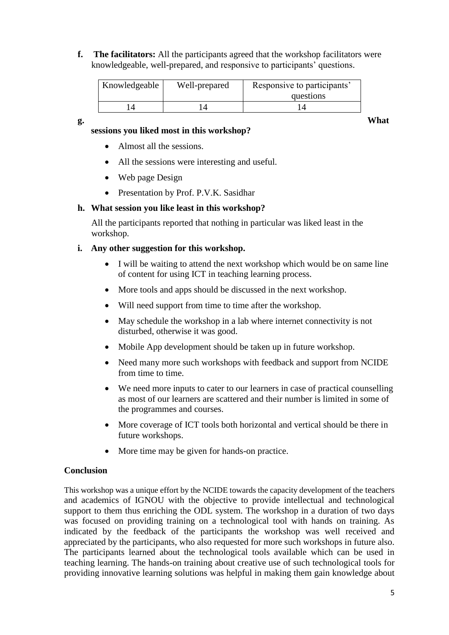**f. The facilitators:** All the participants agreed that the workshop facilitators were knowledgeable, well-prepared, and responsive to participants' questions.

| Knowledgeable | Well-prepared | Responsive to participants' |  |  |
|---------------|---------------|-----------------------------|--|--|
|               |               | questions                   |  |  |
|               |               |                             |  |  |

#### **sessions you liked most in this workshop?**

- Almost all the sessions.
- All the sessions were interesting and useful.
- Web page Design
- Presentation by Prof. P.V.K. Sasidhar

# **h. What session you like least in this workshop?**

All the participants reported that nothing in particular was liked least in the workshop.

# **i. Any other suggestion for this workshop.**

- I will be waiting to attend the next workshop which would be on same line of content for using ICT in teaching learning process.
- More tools and apps should be discussed in the next workshop.
- Will need support from time to time after the workshop.
- May schedule the workshop in a lab where internet connectivity is not disturbed, otherwise it was good.
- Mobile App development should be taken up in future workshop.
- Need many more such workshops with feedback and support from NCIDE from time to time.
- We need more inputs to cater to our learners in case of practical counselling as most of our learners are scattered and their number is limited in some of the programmes and courses.
- More coverage of ICT tools both horizontal and vertical should be there in future workshops.
- More time may be given for hands-on practice.

# **Conclusion**

This workshop was a unique effort by the NCIDE towards the capacity development of the teachers and academics of IGNOU with the objective to provide intellectual and technological support to them thus enriching the ODL system. The workshop in a duration of two days was focused on providing training on a technological tool with hands on training. As indicated by the feedback of the participants the workshop was well received and appreciated by the participants, who also requested for more such workshops in future also. The participants learned about the technological tools available which can be used in teaching learning. The hands-on training about creative use of such technological tools for providing innovative learning solutions was helpful in making them gain knowledge about

**g. What**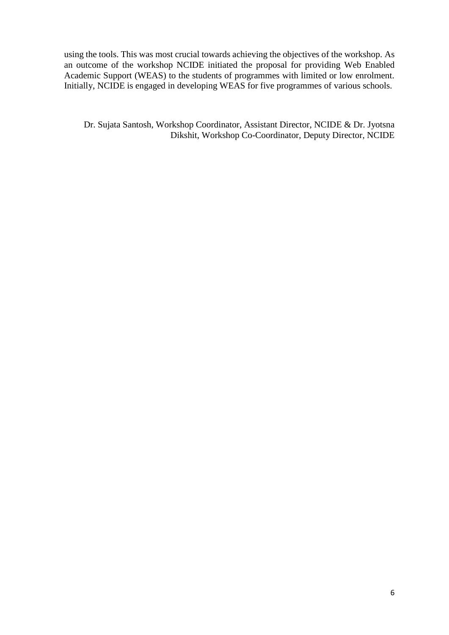using the tools. This was most crucial towards achieving the objectives of the workshop. As an outcome of the workshop NCIDE initiated the proposal for providing Web Enabled Academic Support (WEAS) to the students of programmes with limited or low enrolment. Initially, NCIDE is engaged in developing WEAS for five programmes of various schools.

Dr. Sujata Santosh, Workshop Coordinator, Assistant Director, NCIDE & Dr. Jyotsna Dikshit, Workshop Co-Coordinator, Deputy Director, NCIDE